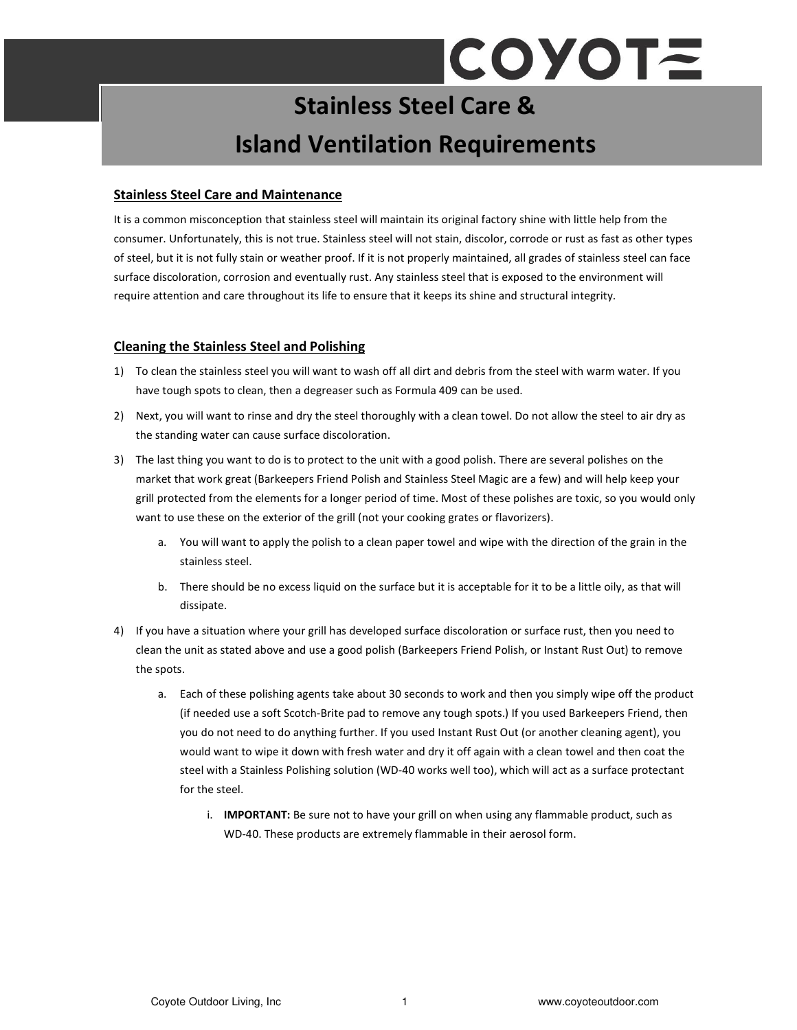# **COYOTE**

# Stainless Steel Care & Island Ventilation Requirements

#### Stainless Steel Care and Maintenance

It is a common misconception that stainless steel will maintain its original factory shine with little help from the consumer. Unfortunately, this is not true. Stainless steel will not stain, discolor, corrode or rust as fast as other types of steel, but it is not fully stain or weather proof. If it is not properly maintained, all grades of stainless steel can face surface discoloration, corrosion and eventually rust. Any stainless steel that is exposed to the environment will require attention and care throughout its life to ensure that it keeps its shine and structural integrity.

### Cleaning the Stainless Steel and Polishing

- 1) To clean the stainless steel you will want to wash off all dirt and debris from the steel with warm water. If you have tough spots to clean, then a degreaser such as Formula 409 can be used.
- 2) Next, you will want to rinse and dry the steel thoroughly with a clean towel. Do not allow the steel to air dry as the standing water can cause surface discoloration.
- 3) The last thing you want to do is to protect to the unit with a good polish. There are several polishes on the market that work great (Barkeepers Friend Polish and Stainless Steel Magic are a few) and will help keep your grill protected from the elements for a longer period of time. Most of these polishes are toxic, so you would only want to use these on the exterior of the grill (not your cooking grates or flavorizers).
	- a. You will want to apply the polish to a clean paper towel and wipe with the direction of the grain in the stainless steel.
	- b. There should be no excess liquid on the surface but it is acceptable for it to be a little oily, as that will dissipate.
- 4) If you have a situation where your grill has developed surface discoloration or surface rust, then you need to clean the unit as stated above and use a good polish (Barkeepers Friend Polish, or Instant Rust Out) to remove the spots.
	- a. Each of these polishing agents take about 30 seconds to work and then you simply wipe off the product (if needed use a soft Scotch-Brite pad to remove any tough spots.) If you used Barkeepers Friend, then you do not need to do anything further. If you used Instant Rust Out (or another cleaning agent), you would want to wipe it down with fresh water and dry it off again with a clean towel and then coat the steel with a Stainless Polishing solution (WD-40 works well too), which will act as a surface protectant for the steel.
		- i. **IMPORTANT:** Be sure not to have your grill on when using any flammable product, such as WD-40. These products are extremely flammable in their aerosol form.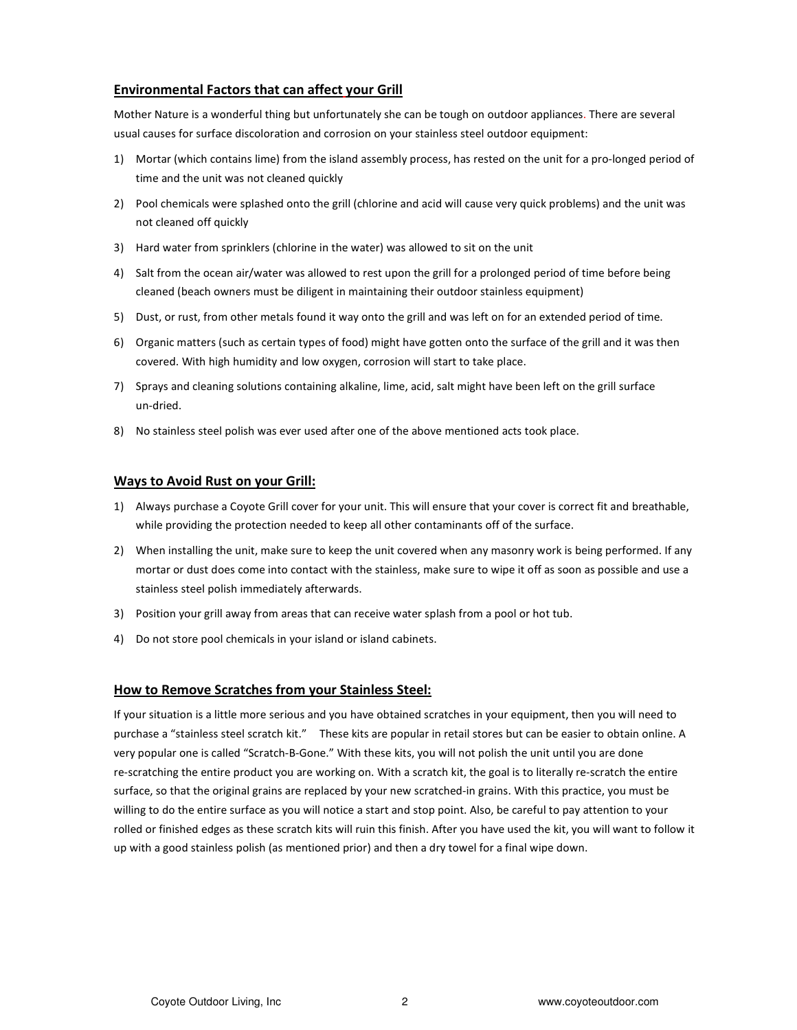## Environmental Factors that can affect your Grill

Mother Nature is a wonderful thing but unfortunately she can be tough on outdoor appliances. There are several usual causes for surface discoloration and corrosion on your stainless steel outdoor equipment:

- 1) Mortar (which contains lime) from the island assembly process, has rested on the unit for a pro-longed period of time and the unit was not cleaned quickly
- 2) Pool chemicals were splashed onto the grill (chlorine and acid will cause very quick problems) and the unit was not cleaned off quickly
- 3) Hard water from sprinklers (chlorine in the water) was allowed to sit on the unit
- 4) Salt from the ocean air/water was allowed to rest upon the grill for a prolonged period of time before being cleaned (beach owners must be diligent in maintaining their outdoor stainless equipment)
- 5) Dust, or rust, from other metals found it way onto the grill and was left on for an extended period of time.
- 6) Organic matters (such as certain types of food) might have gotten onto the surface of the grill and it was then covered. With high humidity and low oxygen, corrosion will start to take place.
- 7) Sprays and cleaning solutions containing alkaline, lime, acid, salt might have been left on the grill surface un-dried.
- 8) No stainless steel polish was ever used after one of the above mentioned acts took place.

#### Ways to Avoid Rust on your Grill:

- 1) Always purchase a Coyote Grill cover for your unit. This will ensure that your cover is correct fit and breathable, while providing the protection needed to keep all other contaminants off of the surface.
- 2) When installing the unit, make sure to keep the unit covered when any masonry work is being performed. If any mortar or dust does come into contact with the stainless, make sure to wipe it off as soon as possible and use a stainless steel polish immediately afterwards.
- 3) Position your grill away from areas that can receive water splash from a pool or hot tub.
- 4) Do not store pool chemicals in your island or island cabinets.

### How to Remove Scratches from your Stainless Steel:

If your situation is a little more serious and you have obtained scratches in your equipment, then you will need to purchase a "stainless steel scratch kit." These kits are popular in retail stores but can be easier to obtain online. A very popular one is called "Scratch-B-Gone." With these kits, you will not polish the unit until you are done re-scratching the entire product you are working on. With a scratch kit, the goal is to literally re-scratch the entire surface, so that the original grains are replaced by your new scratched-in grains. With this practice, you must be willing to do the entire surface as you will notice a start and stop point. Also, be careful to pay attention to your rolled or finished edges as these scratch kits will ruin this finish. After you have used the kit, you will want to follow it up with a good stainless polish (as mentioned prior) and then a dry towel for a final wipe down.